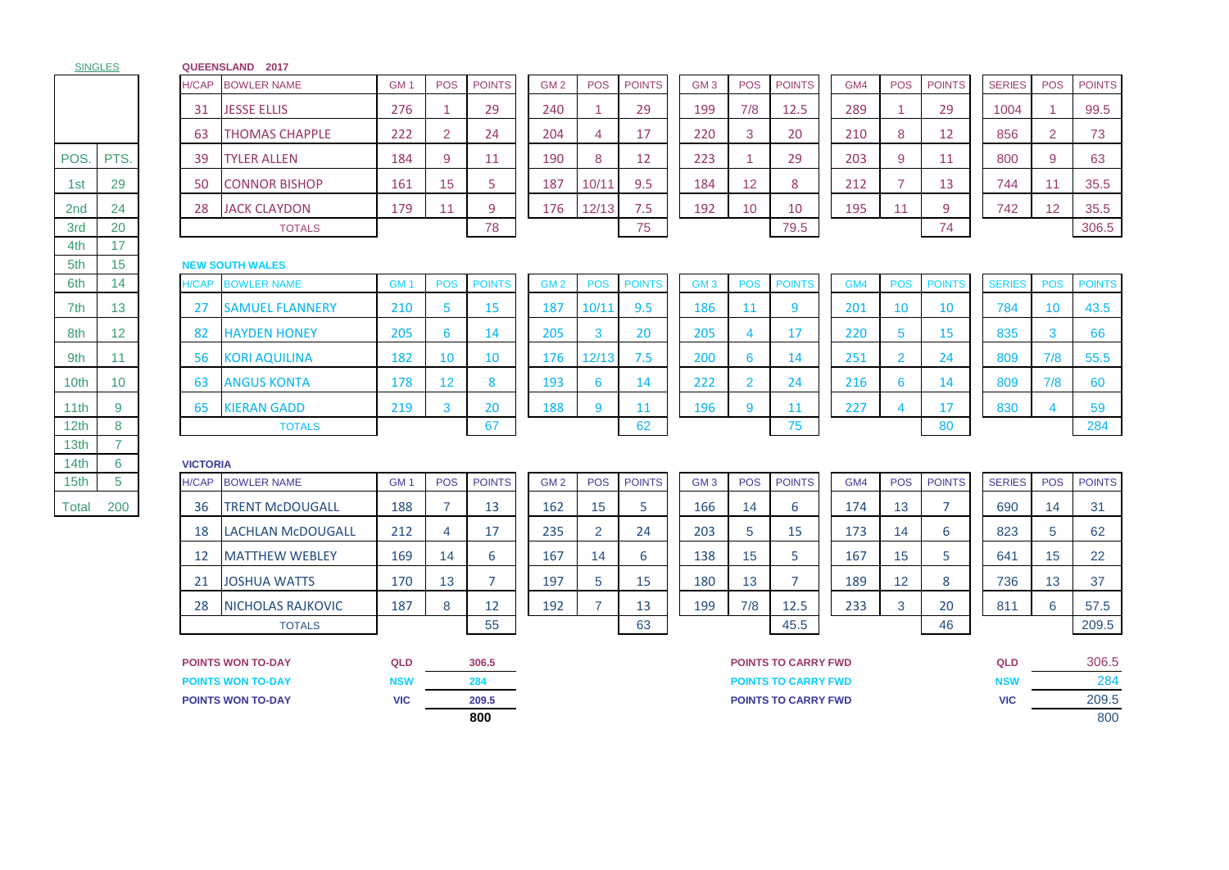|                  |                | ור <i>ש</i> וו  | ۳  |
|------------------|----------------|-----------------|----|
|                  |                | 31              | JI |
|                  |                | 63              | T  |
| POS.             | PTS.           | 39              | T  |
| 1st              | 29             | 50              | C  |
| 2nd              | 24             | 28              | J, |
| 3rd              | 20             |                 |    |
| 4th              | 17             |                 |    |
| 5th              | 15             | <b>NEW SOU</b>  |    |
| 6th              | 14             | <b>H/CAP</b>    | B  |
| 7th              | 13             | 27              | S, |
| 8th              | 12             | 82              | H  |
| 9th              | 11             | 56              | K  |
| 10th             | 10             | 63              | A  |
| 11th             | 9              | 65              | K  |
| 12 <sub>th</sub> | 8              |                 |    |
| 13th             | $\overline{7}$ |                 |    |
| 14 <sub>th</sub> | 6              | <b>VICTORIA</b> |    |
| 15th             | 5              | H/CAP           | B  |
| <b>Total</b>     | 200            | 36              | T  |

SINGLES

 $\Gamma$ 

## **QUEENSLAND 2017**

|                  |                 | H/CAP           | <b>BOWLER NAME</b>       | GM <sub>1</sub> | POS               | <b>POINTS</b> | GM <sub>2</sub> | POS            | <b>POINTS</b> | GM <sub>3</sub> | <b>POS</b>     | <b>POINTS</b> | GM4 | <b>POS</b>      | <b>POINTS</b>  | <b>SERIES</b> | POS            | <b>POINTS</b> |
|------------------|-----------------|-----------------|--------------------------|-----------------|-------------------|---------------|-----------------|----------------|---------------|-----------------|----------------|---------------|-----|-----------------|----------------|---------------|----------------|---------------|
|                  |                 | -31             | <b>JESSE ELLIS</b>       | 276             |                   | 29            | 240             |                | 29            | 199             | 7/8            | 12.5          | 289 |                 | 29             | 1004          |                | 99.5          |
|                  |                 | -63             | <b>THOMAS CHAPPLE</b>    | 222             | $\overline{2}$    | 24            | 204             | $\overline{4}$ | 17            | 220             | 3              | 20            | 210 | 8               | 12             | 856           | $\overline{2}$ | 73            |
| POS.             | PTS.            | 39              | <b>TYLER ALLEN</b>       | 184             | 9                 | 11            | 190             | 8              | 12            | 223             |                | 29            | 203 | 9               | 11             | 800           | 9              | 63            |
| 1st              | 29              | 50              | <b>CONNOR BISHOP</b>     | 161             | 15                | 5.            | 187             | 10/11          | 9.5           | 184             | 12             | 8             | 212 | 7               | 13             | 744           | 11             | 35.5          |
| 2 <sub>nd</sub>  | 24              | 28              | <b>JACK CLAYDON</b>      | 179             | 11                | 9             | 176             | 12/13          | 7.5           | 192             | 10             | 10            | 195 | 11              | 9              | 742           | 12             | 35.5          |
| 3rd              | 20              |                 | <b>TOTALS</b>            |                 |                   | 78            |                 |                | 75            |                 |                | 79.5          |     |                 | 74             |               |                | 306.5         |
| 4th              | 17              |                 |                          |                 |                   |               |                 |                |               |                 |                |               |     |                 |                |               |                |               |
| 5th              | 15 <sub>1</sub> |                 | <b>NEW SOUTH WALES</b>   |                 |                   |               |                 |                |               |                 |                |               |     |                 |                |               |                |               |
| 6th              | 14              | <b>H/CAP</b>    | <b>BOWLER NAME</b>       | GM <sub>1</sub> | <b>POS</b>        | <b>POINTS</b> | GM <sub>2</sub> | <b>POS</b>     | <b>POINTS</b> | GM <sub>3</sub> | <b>POS</b>     | <b>POINTS</b> | GM4 | <b>POS</b>      | <b>POINTS</b>  | <b>SERIES</b> | <b>POS</b>     | <b>POINTS</b> |
| 7th              | 13              | 27              | <b>SAMUEL FLANNERY</b>   | 210             | 5                 | 15            | 187             | 10/11          | 9.5           | 186             | 11             | 9             | 201 | 10 <sup>°</sup> | 10             | 784           | 10             | 43.5          |
| 8th              | 12 <sup>2</sup> | 82              | <b>HAYDEN HONEY</b>      | 205             | 6                 | 14            | 205             | 3              | 20            | 205             | 4              | 17            | 220 | 5               | 15             | 835           | 3              | 66            |
| 9th              | 11              | 56              | <b>KORI AQUILINA</b>     | 182             | 10 <sup>°</sup>   | 10            | 176             | 12/13          | 7.5           | 200             | 6              | 14            | 251 | $\overline{2}$  | 24             | 809           | 7/8            | 55.5          |
| 10th             | 10 <sup>°</sup> | -63             | <b>ANGUS KONTA</b>       | 178             | $12 \overline{ }$ | 8             | 193             | 6              | 14            | 222             | $\overline{2}$ | 24            | 216 | 6               | 14             | 809           | 7/8            | 60            |
| 11th             | 9               | 65              | <b>KIERAN GADD</b>       | 219             | 3                 | 20            | 188             | 9              | 11            | 196             | 9              | 11            | 227 | 4               | 17             | 830           | 4              | 59            |
| 12 <sub>th</sub> | 8               |                 | <b>TOTALS</b>            |                 |                   | 67            |                 |                | 62            |                 |                | 75            |     |                 | 80             |               |                | 284           |
| 13th             |                 |                 |                          |                 |                   |               |                 |                |               |                 |                |               |     |                 |                |               |                |               |
| 14 <sub>th</sub> | 6               | <b>VICTORIA</b> |                          |                 |                   |               |                 |                |               |                 |                |               |     |                 |                |               |                |               |
| 15 <sub>th</sub> | 5               | <b>H/CAP</b>    | <b>BOWLER NAME</b>       | GM <sub>1</sub> | <b>POS</b>        | <b>POINTS</b> | GM <sub>2</sub> | <b>POS</b>     | <b>POINTS</b> | GM <sub>3</sub> | <b>POS</b>     | <b>POINTS</b> | GM4 | <b>POS</b>      | <b>POINTS</b>  | <b>SERIES</b> | <b>POS</b>     | <b>POINTS</b> |
| <b>Total</b>     | 200             | 36              | <b>TRENT McDOUGALL</b>   | 188             |                   | 13            | 162             | 15             | 5             | 166             | 14             | 6             | 174 | 13              | $\overline{7}$ | 690           | 14             | 31            |
|                  |                 | 18              | <b>LACHLAN McDOUGALL</b> | 212             | 4                 | 17            | 235             | 2              | 24            | 203             | 5              | 15            | 173 | 14              | 6              | 823           | 5              | 62            |

| -- | ____________          | __  |    | - - | --- |    | -- | --- | .                | --   | - - - | .  |    | $- -$ |    | $-$   |
|----|-----------------------|-----|----|-----|-----|----|----|-----|------------------|------|-------|----|----|-------|----|-------|
| 12 | <b>MATTHEW WEBLEY</b> | 169 | 14 |     | 167 | 14 |    | 138 | 15               |      | 167   | 15 |    | 641   | 5  | 22    |
| 21 | JOSHUA WATTS          | 170 | 13 |     | 197 |    | 15 | 180 | $4\Omega$<br>ں ا |      | 189   | 12 |    | 736   | 13 | 37    |
| 28 | NICHOLAS RAJKOVIC     | 187 | u  | 12  | 192 |    | 13 | 199 | 7/8              | 12.5 | 233   |    | 20 | 811   |    | 57.5  |
|    | <b>TOTALS</b>         |     |    | 55  |     |    | 63 |     |                  | 45.5 |       |    | 46 |       |    | 209.5 |
|    |                       |     |    |     |     |    |    |     |                  |      |       |    |    |       |    |       |

| <b>UIVI U</b> |     |      |
|---------------|-----|------|
| 166           | 14  | 6    |
| 203           | 5   | 15   |
| 138           | 15  | 5    |
| 180           | 13  |      |
| 199           | 7/8 | 12.5 |
|               |     | 45.5 |

| <b>POS</b> | <b>POINTS</b> | <b>SERIES</b> | <b>POS</b> | POI            |
|------------|---------------|---------------|------------|----------------|
| 13         |               | 690           | 14         | 3              |
| 14         | 6             | 823           | 5          | 6              |
| 15         | 5             | 641           | 15         | $\overline{a}$ |
| 12         | 8             | 736           | 13         | 3              |
| 3          | 20            | 811           | 6          | 57             |
|            | 46            |               |            | 20             |
|            |               |               |            |                |

## **POINTS WON TO-DAY QLD** 306.5 **POINTS WON TO-DAY POINTS NSW** 284 **POINTS WON TO-DAY POINTS VIC** 209.5



| <b>VIC</b> | 209.5 | <b>POINTS TO CARRY FWD</b> | <b>VIC</b> | 209.5 |
|------------|-------|----------------------------|------------|-------|
| NSW        |       | <b>POINTS TO CARRY FWD</b> |            | 284   |
| QLD        | 306.5 | <b>POINTS TO CARRY FWD</b> | QLD        | 306.5 |

**800** 800 **800**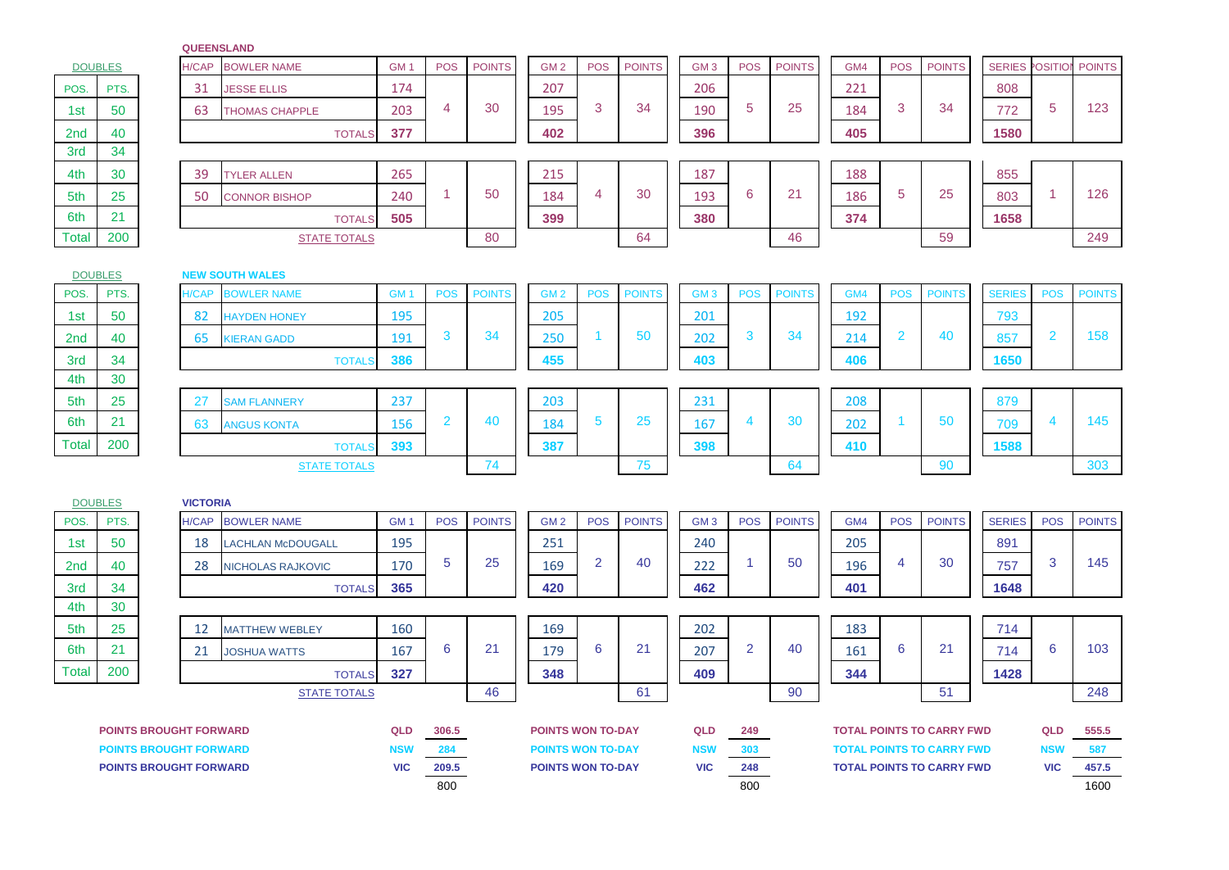**QUEENSLAND**

|                                             | <b>DOUBLES</b>                       |                               | H/CAP           | <b>BOWLER NAME</b>                           | GM <sub>1</sub> | <b>POS</b>               | <b>POINTS</b>                                                                     | GM <sub>2</sub> | <b>POS</b>     | <b>POINTS</b>                                         | GM <sub>3</sub> | <b>POS</b> | <b>POINTS</b> | GM4   | <b>POS</b>     | <b>POINTS</b> | <b>SERIES</b> | <b>OSITION</b>       | <b>POINTS</b> |
|---------------------------------------------|--------------------------------------|-------------------------------|-----------------|----------------------------------------------|-----------------|--------------------------|-----------------------------------------------------------------------------------|-----------------|----------------|-------------------------------------------------------|-----------------|------------|---------------|-------|----------------|---------------|---------------|----------------------|---------------|
| POS.                                        | PTS.                                 |                               | 31              | <b>JESSE ELLIS</b>                           | 174             |                          |                                                                                   | 207             |                |                                                       | 206             |            |               | 221   |                |               | 808           |                      |               |
| 1st                                         | 50                                   |                               | 63              | <b>THOMAS CHAPPLE</b>                        | 203             | 4                        | 30                                                                                | 195             | 3              | 34                                                    | 190             | 5          | 25            | 184   | 3              | 34            | 772           | 5                    | 123           |
| 2 <sub>nd</sub>                             | 40                                   |                               |                 | <b>TOTALS</b>                                | 377             |                          |                                                                                   | 402             |                |                                                       | 396             |            |               | 405   |                |               | 1580          |                      |               |
| 3rd                                         | 34                                   |                               |                 |                                              |                 |                          |                                                                                   |                 |                |                                                       |                 |            |               |       |                |               |               |                      |               |
| 4th                                         | 30                                   |                               | 39              | <b>TYLER ALLEN</b>                           | 265             |                          |                                                                                   | 215             |                |                                                       | 187             |            |               | 188   |                |               | 855           |                      |               |
| 5th                                         | 25                                   |                               | 50              | <b>CONNOR BISHOP</b>                         | 240             | $\blacktriangleleft$     | 50                                                                                | 184             | $\overline{4}$ | 30                                                    | 193             | 6          | 21            | 186   | 5              | 25            | 803           | $\blacktriangleleft$ | 126           |
| 6th                                         | 21                                   |                               |                 | <b>TOTALS</b>                                | 505             |                          |                                                                                   | 399             |                |                                                       | 380             |            |               | 374   |                |               | 1658          |                      |               |
| Total                                       | 200                                  |                               |                 | <b>STATE TOTALS</b>                          |                 |                          | 80                                                                                |                 |                | 64                                                    |                 |            | 46            |       |                | 59            |               |                      | 249           |
|                                             |                                      |                               |                 |                                              |                 |                          |                                                                                   |                 |                |                                                       |                 |            |               |       |                |               |               |                      |               |
| POS.                                        | <b>DOUBLES</b><br>PTS.               |                               | H/CAP           | <b>NEW SOUTH WALES</b><br><b>BOWLER NAME</b> | GM <sub>1</sub> | <b>POS</b>               | <b>POINTS</b>                                                                     | GM <sub>2</sub> | <b>POS</b>     | <b>POINTS</b>                                         | GM <sub>3</sub> | <b>POS</b> | <b>POINTS</b> | GM4   | <b>POS</b>     | <b>POINTS</b> | <b>SERIES</b> | <b>POS</b>           | <b>POINTS</b> |
| 1st                                         | 50                                   |                               | 82              | <b>HAYDEN HONEY</b>                          | 195             |                          |                                                                                   | 205             |                |                                                       | 201             |            |               | 192   |                |               | 793           |                      |               |
| 2 <sub>nd</sub>                             | 40                                   |                               | 65              | <b>KIERAN GADD</b>                           | 191             | 3                        | 34                                                                                | 250             | 1              | 50                                                    | 202             | 3          | 34            | 214   | $\overline{2}$ | 40            | 857           | $\overline{2}$       | 158           |
| 3rd                                         | 34                                   |                               |                 | <b>TOTAL</b>                                 | 386             |                          |                                                                                   | 455             |                |                                                       | 403             |            |               | 406   |                |               | 1650          |                      |               |
| 4th                                         | 30                                   |                               |                 |                                              |                 |                          |                                                                                   |                 |                |                                                       |                 |            |               |       |                |               |               |                      |               |
| 5th                                         | 25                                   |                               | 27              | <b>SAM FLANNERY</b>                          | 237             |                          |                                                                                   | 203             |                |                                                       | 231             |            |               | 208   |                |               | 879           |                      |               |
| 6th                                         | 21                                   |                               | 63              | <b>ANGUS KONTA</b>                           | 156             | $\overline{2}$           | 40                                                                                | 184             | 5              | 25                                                    | 167             | 4          | 30            | 202   | -1             | 50            | 709           | 4                    | 145           |
| Total                                       | 200                                  |                               |                 | <b>TOTALS</b>                                | 393             |                          |                                                                                   | 387             |                |                                                       | 398             |            |               | 410   |                |               | 1588          |                      |               |
|                                             |                                      |                               |                 | <b>STATE TOTALS</b>                          |                 |                          | 74                                                                                |                 |                | 75                                                    |                 |            | 64            |       |                | 90            |               |                      | 303           |
|                                             |                                      |                               |                 |                                              |                 |                          |                                                                                   |                 |                |                                                       |                 |            |               |       |                |               |               |                      |               |
|                                             | <b>DOUBLES</b>                       |                               | <b>VICTORIA</b> |                                              |                 |                          |                                                                                   |                 |                |                                                       |                 |            |               |       |                |               |               |                      |               |
| POS.                                        | PTS.                                 |                               | H/CAP           | <b>BOWLER NAME</b>                           | GM <sub>1</sub> | <b>POS</b>               | <b>POINTS</b>                                                                     | GM <sub>2</sub> | <b>POS</b>     | <b>POINTS</b>                                         | GM <sub>3</sub> | <b>POS</b> | <b>POINTS</b> | GM4   | <b>POS</b>     | <b>POINTS</b> | <b>SERIES</b> | <b>POS</b>           | <b>POINTS</b> |
| 1st                                         | 50                                   |                               | 18              | <b>LACHLAN McDOUGALL</b>                     | 195             |                          |                                                                                   | 251             |                |                                                       | 240             |            |               | 205   |                |               | 891           |                      |               |
| 2 <sub>nd</sub>                             | 40                                   |                               | 28              | <b>NICHOLAS RAJKOVIC</b>                     | 170             | 5                        | 25                                                                                | 169             | $\overline{2}$ | 40                                                    | 222             | 1          | 50            | 196   | 4              | 30            | 757           | 3                    | 145           |
| 3rd                                         | 34                                   |                               |                 | <b>TOTALS</b>                                | 365             |                          |                                                                                   | 420             |                |                                                       | 462             |            |               | 401   |                |               | 1648          |                      |               |
| 4th                                         | 30                                   |                               |                 |                                              |                 |                          |                                                                                   |                 |                |                                                       |                 |            |               |       |                |               |               |                      |               |
| 5th                                         | 25                                   |                               | 12              | <b>MATTHEW WEBLEY</b>                        | 160             |                          |                                                                                   | 169             |                |                                                       | 202             |            |               | 183   |                |               | 714           |                      |               |
| 6th                                         | 21                                   |                               | 21              | <b>JOSHUA WATTS</b>                          | 167             | 6                        | 21                                                                                | 179             | 6              | 21                                                    | 207             | 2          | 40            | 161   | 6              | 21            | 714           | 6                    | 103           |
| Total                                       | 200                                  |                               |                 | <b>TOTALS</b>                                | 327             |                          |                                                                                   | 348             |                |                                                       | 409             |            |               | 344   |                |               | 1428          |                      |               |
|                                             |                                      |                               |                 | <b>STATE TOTALS</b>                          |                 |                          | 46                                                                                |                 |                | 61                                                    |                 |            | 90            |       |                | 51            |               |                      | 248           |
|                                             | QLD<br><b>POINTS BROUGHT FORWARD</b> |                               |                 |                                              |                 | 306.5                    | QLD<br><b>POINTS WON TO-DAY</b><br>249<br><b>TOTAL POINTS TO CARRY FWD</b>        |                 |                |                                                       |                 |            |               |       | QLD            | 555.5         |               |                      |               |
| <b>NSW</b><br><b>POINTS BROUGHT FORWARD</b> |                                      |                               |                 | 284                                          |                 | <b>POINTS WON TO-DAY</b> |                                                                                   |                 |                | <b>NSW</b><br>303<br><b>TOTAL POINTS TO CARRY FWD</b> |                 |            |               |       | <b>NSW</b>     | 587           |               |                      |               |
|                                             |                                      | <b>POINTS BROUGHT FORWARD</b> |                 |                                              | <b>VIC</b>      | 209.5                    | <b>VIC</b><br>248<br><b>POINTS WON TO-DAY</b><br><b>TOTAL POINTS TO CARRY FWD</b> |                 |                |                                                       |                 |            | <b>VIC</b>    | 457.5 |                |               |               |                      |               |
|                                             |                                      |                               |                 |                                              |                 | 800                      |                                                                                   |                 |                |                                                       |                 | 800        |               |       |                |               |               |                      | 1600          |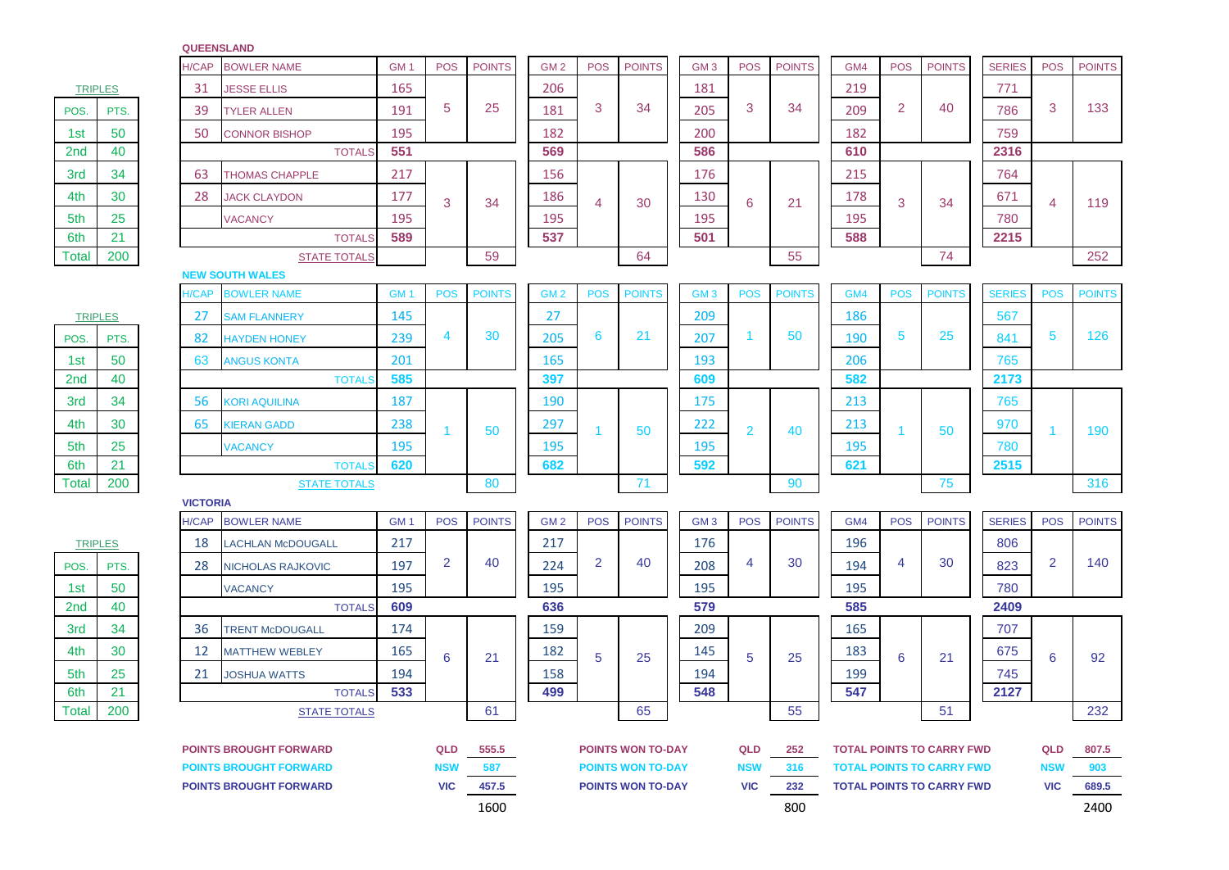**QUEENSLAND**

|                                                      | <b>H/CAP</b><br><b>BOWLER NAME</b>                             | GM <sub>1</sub> | <b>POS</b>        | <b>POINTS</b> | GM <sub>2</sub>                                                    | <b>POS</b>     | <b>POINTS</b>            | GM <sub>3</sub> | <b>POS</b>     | <b>POINTS</b> | GM4 | <b>POS</b> | <b>POINTS</b>                                                        | <b>SERIES</b> | <b>POS</b>        | <b>POINTS</b> |
|------------------------------------------------------|----------------------------------------------------------------|-----------------|-------------------|---------------|--------------------------------------------------------------------|----------------|--------------------------|-----------------|----------------|---------------|-----|------------|----------------------------------------------------------------------|---------------|-------------------|---------------|
| <b>TRIPLES</b>                                       | 31<br><b>JESSE ELLIS</b>                                       | 165             |                   |               | 206                                                                |                |                          | 181             |                |               | 219 |            |                                                                      | 771           |                   |               |
| PTS.<br>POS.                                         | 39<br><b>TYLER ALLEN</b>                                       | 191             | 5                 | 25            | 181                                                                | 3              | 34                       | 205             | 3              | 34            | 209 | 2          | 40                                                                   | 786           | 3                 | 133           |
| 50<br>1st                                            | 50<br><b>CONNOR BISHOP</b>                                     | 195             |                   |               | 182                                                                |                |                          | 200             |                |               | 182 |            |                                                                      | 759           |                   |               |
| 40<br>2 <sub>nd</sub>                                | <b>TOTALS</b>                                                  | 551             |                   |               | 569                                                                |                |                          | 586             |                |               | 610 |            |                                                                      | 2316          |                   |               |
| 34<br>3rd                                            | 63<br><b>THOMAS CHAPPLE</b>                                    | 217             |                   |               | 156                                                                |                |                          | 176             |                |               | 215 |            |                                                                      | 764           |                   |               |
| 30<br>4th                                            | 28<br><b>JACK CLAYDON</b>                                      | 177             | 3                 | 34            | 186                                                                | $\overline{4}$ | 30                       | 130             | 6              | 21            | 178 | 3          | 34                                                                   | 671           | 4                 | 119           |
| 25<br>5th                                            | <b>VACANCY</b>                                                 | 195             |                   |               | 195                                                                |                |                          | 195             |                |               | 195 |            |                                                                      | 780           |                   |               |
| 21<br>6th                                            | <b>TOTALS</b>                                                  | 589             |                   |               | 537                                                                |                |                          | 501             |                |               | 588 |            |                                                                      | 2215          |                   |               |
| 200<br>Total                                         | <b>STATE TOTALS</b>                                            |                 |                   | 59            |                                                                    |                | 64                       |                 |                | 55            |     |            | 74                                                                   |               |                   | 252           |
|                                                      | <b>NEW SOUTH WALES</b>                                         |                 |                   |               |                                                                    |                |                          |                 |                |               |     |            |                                                                      |               |                   |               |
|                                                      | <b>I/CAP</b><br><b>BOWLER NAME</b>                             | GM <sub>1</sub> | <b>POS</b>        | <b>POINTS</b> | GM <sub>2</sub>                                                    | <b>POS</b>     | <b>POINTS</b>            | GM <sub>3</sub> | <b>POS</b>     | <b>POINTS</b> | GM4 | <b>POS</b> | <b>POINTS</b>                                                        | <b>SERIES</b> | <b>POS</b>        | <b>POINTS</b> |
| <b>TRIPLES</b>                                       | 27<br><b>SAM FLANNERY</b>                                      | 145             |                   |               | 27                                                                 |                |                          | 209             |                |               | 186 |            |                                                                      | 567           |                   |               |
| POS.<br>PTS.                                         | 82<br><b>HAYDEN HONEY</b>                                      | 239             | 4                 | 30            | 205                                                                | 6              | 21                       | 207             | -1             | 50            | 190 | 5          | 25                                                                   | 841           | 5                 | 126           |
| 50<br>1st                                            | 63<br><b>ANGUS KONTA</b>                                       | 201             |                   |               | 165                                                                |                |                          | 193             |                |               | 206 |            |                                                                      | 765           |                   |               |
| 40<br>2 <sub>nd</sub>                                | <b>TOTAL</b>                                                   | 585             |                   |               | 397                                                                |                |                          | 609             |                |               | 582 |            |                                                                      | 2173          |                   |               |
| 34<br>3rd                                            | 56<br><b>KORI AQUILINA</b>                                     | 187             |                   |               | 190                                                                |                |                          | 175             |                |               | 213 |            |                                                                      | 765           |                   |               |
| 30<br>4th                                            | 65<br><b>KIERAN GADD</b>                                       | 238             | 1                 | 50            | 297                                                                | $\mathbf{1}$   | 50                       | 222             | $\overline{2}$ | 40            | 213 | -1         | 50                                                                   | 970           |                   | 190           |
| 25<br>5th                                            | <b>VACANCY</b>                                                 | 195             |                   |               | 195                                                                |                |                          | 195             |                |               | 195 |            |                                                                      | 780           |                   |               |
| 21<br>6th                                            | <b>TOTAL</b>                                                   | 620             |                   |               | 682                                                                |                |                          | 592             |                |               | 621 |            |                                                                      | 2515          |                   |               |
| 200<br>Total                                         | <b>STATE TOTALS</b>                                            |                 |                   | 80            |                                                                    |                | 71                       |                 |                | 90            |     |            | 75                                                                   |               |                   | 316           |
|                                                      | <b>VICTORIA</b>                                                |                 |                   |               |                                                                    |                |                          |                 |                |               |     |            |                                                                      |               |                   |               |
|                                                      | <b>H/CAP</b><br><b>BOWLER NAME</b>                             | GM <sub>1</sub> | <b>POS</b>        | <b>POINTS</b> | GM <sub>2</sub>                                                    | <b>POS</b>     | <b>POINTS</b>            | GM <sub>3</sub> | <b>POS</b>     | <b>POINTS</b> | GM4 | <b>POS</b> | <b>POINTS</b>                                                        | <b>SERIES</b> | <b>POS</b>        | <b>POINTS</b> |
| <b>TRIPLES</b>                                       | 18<br><b>LACHLAN McDOUGALL</b>                                 | 217             |                   |               | 217                                                                |                |                          | 176             |                |               | 196 |            |                                                                      | 806           |                   |               |
| POS.<br>PTS.                                         | 28<br>NICHOLAS RAJKOVIC                                        | 197             | 2                 | 40            | 224                                                                | 2              | 40                       | 208             | 4              | 30            | 194 | 4          | 30                                                                   | 823           | 2                 | 140           |
| 50<br>1st                                            | <b>VACANCY</b>                                                 | 195             |                   |               | 195                                                                |                |                          | 195             |                |               | 195 |            |                                                                      | 780           |                   |               |
| 40<br>2nd                                            | <b>TOTALS</b>                                                  | 609             |                   |               | 636                                                                |                |                          | 579             |                |               | 585 |            |                                                                      | 2409          |                   |               |
| 34<br>3rd                                            | 36<br><b>TRENT McDOUGALL</b>                                   | 174             |                   |               | 159                                                                |                |                          | 209             |                |               | 165 |            |                                                                      | 707           |                   |               |
| 30<br>4th                                            | 12<br><b>MATTHEW WEBLEY</b>                                    | 165             | 6                 | 21            | 182                                                                | 5              | 25                       | 145             | 5              | 25            | 183 | 6          | 21                                                                   | 675           | 6                 | 92            |
| 25<br>5th                                            | 21<br><b>JOSHUA WATTS</b>                                      | 194             |                   |               | 158                                                                |                |                          | 194             |                |               | 199 |            |                                                                      | 745           |                   |               |
| 21<br>6th                                            | <b>TOTALS</b>                                                  | 533             |                   |               | 499                                                                |                |                          | 548             |                |               | 547 |            |                                                                      | 2127          |                   |               |
| 200<br>Total                                         | <b>STATE TOTALS</b>                                            |                 |                   | 61            |                                                                    |                | 65                       |                 |                | 55            |     |            | 51                                                                   |               |                   | 232           |
|                                                      |                                                                |                 |                   |               |                                                                    |                |                          |                 | QLD            |               |     |            |                                                                      |               |                   |               |
|                                                      | <b>POINTS BROUGHT FORWARD</b><br><b>POINTS BROUGHT FORWARD</b> |                 | QLD<br><b>NSW</b> | 555.5<br>587  | <b>POINTS WON TO-DAY</b><br><b>NSW</b><br><b>POINTS WON TO-DAY</b> |                |                          |                 |                | 252<br>316    |     |            | <b>TOTAL POINTS TO CARRY FWD</b><br><b>TOTAL POINTS TO CARRY FWD</b> |               | QLD<br><b>NSW</b> | 807.5<br>903  |
| 457.5<br><b>POINTS BROUGHT FORWARD</b><br><b>VIC</b> |                                                                |                 |                   |               |                                                                    |                | <b>POINTS WON TO-DAY</b> |                 | <b>VIC</b>     | 232           |     |            | <b>TOTAL POINTS TO CARRY FWD</b>                                     |               | <b>VIC</b>        | 689.5         |
|                                                      |                                                                |                 |                   |               | 1600<br>800                                                        |                |                          |                 |                |               |     | 2400       |                                                                      |               |                   |               |

| 1st<br>50<br>2nd<br>40 | PIS |
|------------------------|-----|
|                        |     |
|                        |     |
| 3rd<br>34              |     |
| 4th<br>30              |     |
| 5th<br>25              |     |
| 21<br>6th              |     |
| Total                  | 200 |

|       | <b>TRIPLES</b> |
|-------|----------------|
| POS.  | PTS            |
| 1st   | 50             |
| 2nd   | 40             |
| 3rd   | 34             |
| 4th   | 30             |
| 5th   | 25             |
| 6th   | 21             |
| Total | 200            |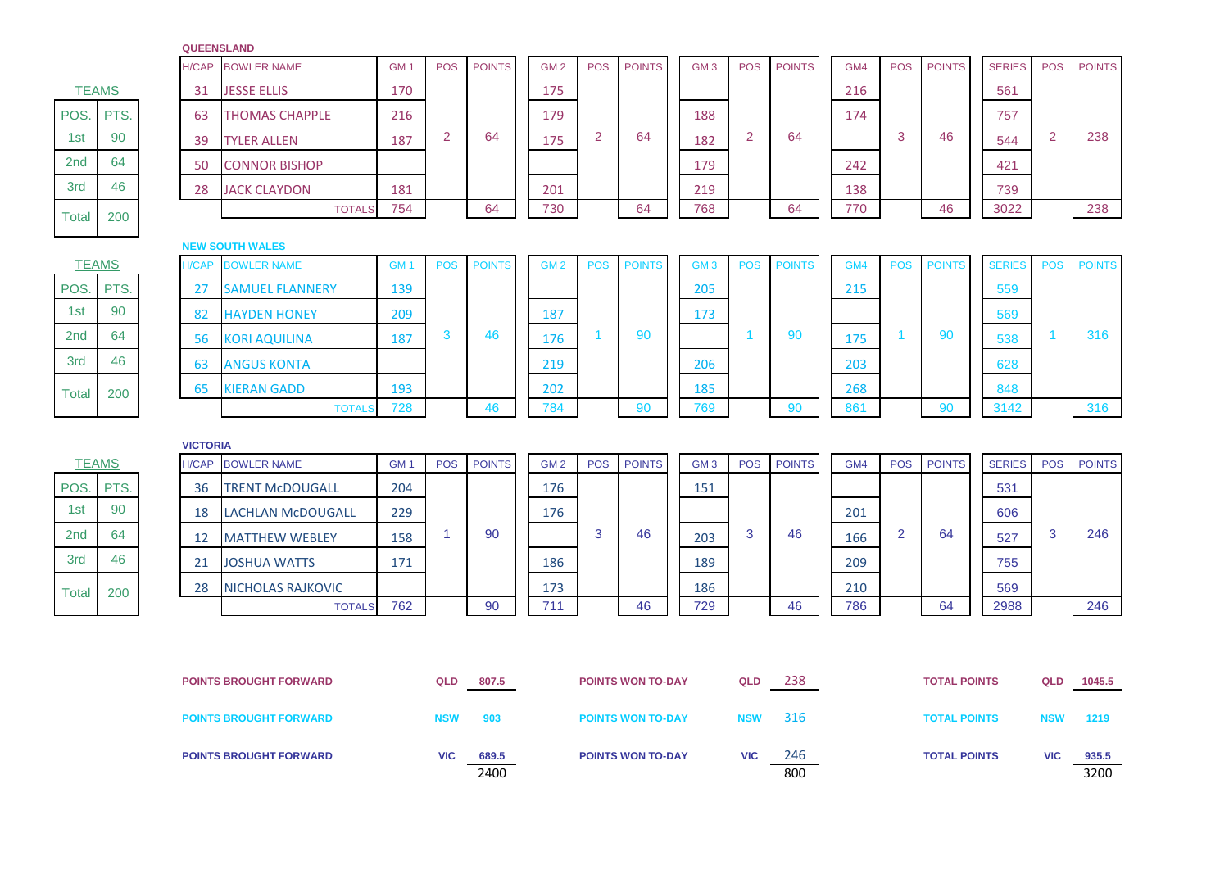**QUEENSLAND**

|                 |              | H/CAP | <b>BOWLER NAME</b>    | GM <sub>1</sub> | <b>POS</b> | <b>POINTS</b> | GM <sub>2</sub> | <b>POS</b> | <b>POINTS</b> | GM <sub>3</sub> | <b>POS</b> | <b>POINTS</b> | GM4 | POS | <b>POINTS</b> | <b>SERIES</b> | <b>POS</b> | <b>POINTS</b> |
|-----------------|--------------|-------|-----------------------|-----------------|------------|---------------|-----------------|------------|---------------|-----------------|------------|---------------|-----|-----|---------------|---------------|------------|---------------|
|                 | <b>TEAMS</b> |       | <b>JESSE ELLIS</b>    | 170             |            |               | 175             |            |               |                 |            |               | 216 |     |               | 561           |            |               |
| POS.            | PTS.         | 63    | <b>THOMAS CHAPPLE</b> | 216             |            |               | 179             |            |               | 188             |            |               | 174 |     |               | 757           |            |               |
| 1st             | 90           | 39    | <b>TYLER ALLEN</b>    | 187             |            | 64            | 175             | ົ          | 64            | 182             |            | 64            |     |     | 46            | 544           | 2          | 238           |
| 2 <sub>nd</sub> | 64           | 50    | <b>CONNOR BISHOP</b>  |                 |            |               |                 |            |               | 179             |            |               | 242 |     |               | 421           |            |               |
| 3rd             | 46           | 28    | <b>JACK CLAYDON</b>   | 181             |            |               | 201             |            |               | 219             |            |               | 138 |     |               | 739           |            |               |
| Total           | 200          |       | <b>TOTALS</b>         | 754             |            | 64            | 730             |            | 64            | 768             |            | 64            | 770 |     | 46            | 3022          |            | 238           |

## **NEW SOUTH WALES**

Total 200

Total 200

Total 200

|                 |      |              | 11.11.000111.000111    |                 |            |               |                 |            |               |                 |            |               |     |            |               |               |     |               |
|-----------------|------|--------------|------------------------|-----------------|------------|---------------|-----------------|------------|---------------|-----------------|------------|---------------|-----|------------|---------------|---------------|-----|---------------|
| <b>TEAMS</b>    |      | <b>H/CAP</b> | <b>BOWLER NAME</b>     | GM <sub>1</sub> | <b>POS</b> | <b>POINTS</b> | GM <sub>2</sub> | <b>POS</b> | <b>POINTS</b> | GM <sub>3</sub> | <b>POS</b> | <b>POINTS</b> | GM4 | <b>POS</b> | <b>POINTS</b> | <b>SERIES</b> | POS | <b>POINTS</b> |
| POS.            | PTS. |              | <b>SAMUEL FLANNERY</b> | 139             |            |               |                 |            |               | 205             |            |               | 215 |            |               | 559           |     |               |
| 1st             | 90   | 82           | <b>HAYDEN HONEY</b>    | 209             |            |               | 187             |            |               | 173             |            |               |     |            |               | 569           |     |               |
| 2 <sub>nd</sub> | 64   | 56           | <b>KORI AQUILINA</b>   | 187             |            | 46            | 176             |            | ັບ            |                 |            | 90            | 175 |            | 90            | 538           |     | 316           |
| 3rd             | 46   | -63          | <b>ANGUS KONTA</b>     |                 |            |               | 219             |            |               | 206             |            |               | 203 |            |               | 628           |     |               |
| <b>Total</b>    | 200  | -65          | <b>KIERAN GADD</b>     | 193             |            |               | 202             |            |               | 185             |            |               | 268 |            |               | 848           |     |               |
|                 |      |              | <b>TOTALS</b>          | 728             |            | 46            | 784             |            |               | 769             |            | $\alpha$      | 861 |            | 90            | 3142          |     | 316           |

|                 |      |              | <b>VICTORIA</b>    |                          |            |               |                 |            |               |                 |            |               |     |            |               |               |            |               |     |
|-----------------|------|--------------|--------------------|--------------------------|------------|---------------|-----------------|------------|---------------|-----------------|------------|---------------|-----|------------|---------------|---------------|------------|---------------|-----|
| <b>TEAMS</b>    |      | <b>H/CAP</b> | <b>BOWLER NAME</b> | GM <sup>-</sup>          | <b>POS</b> | <b>POINTS</b> | GM <sub>2</sub> | <b>POS</b> | <b>POINTS</b> | GM <sub>3</sub> | <b>POS</b> | <b>POINTS</b> | GM4 | <b>POS</b> | <b>POINTS</b> | <b>SERIES</b> | <b>POS</b> | <b>POINTS</b> |     |
| POS.            | PTS. |              | 36                 | <b>TRENT McDOUGALL</b>   | 204        |               |                 | 176        |               |                 | 151        |               |     |            |               |               | 531        |               |     |
| 1st             | 90   |              | 18                 | <b>LACHLAN McDOUGALL</b> | 229        |               |                 | 176        |               |                 |            |               |     | 201        |               |               | 606        |               |     |
| 2 <sub>nd</sub> | 64   |              |                    | <b>MATTHEW WEBLEY</b>    | 158        |               | 90              |            |               | 46              | 203        | 3             | 46  | 166        |               | 64            | 527        |               | 246 |
| 3rd             | 46   |              |                    | <b>JOSHUA WATTS</b>      | 171        |               |                 | 186        |               |                 | 189        |               |     | 209        |               |               | 755        |               |     |
| Total           | 200  |              | 28                 | <b>NICHOLAS RAJKOVIC</b> |            |               |                 | 173        |               |                 | 186        |               |     | 210        |               |               | 569        |               |     |
|                 |      |              |                    | <b>TOTALS</b>            | 762        |               | 90              | 71'        |               | 46              | 729        |               | 46  | 786        |               | 64            | 2988       |               | 246 |

| <b>POINTS BROUGHT FORWARD</b> | <b>QLD</b><br>807.5 | <b>POINTS WON TO-DAY</b> | 238<br>QLD        | <b>TOTAL POINTS</b> | QLD        | 1045.5 |
|-------------------------------|---------------------|--------------------------|-------------------|---------------------|------------|--------|
| <b>POINTS BROUGHT FORWARD</b> | NSW<br>903          | <b>POINTS WON TO-DAY</b> | 316<br>NSW        | <b>TOTAL POINTS</b> | NSW        | 1219   |
| <b>POINTS BROUGHT FORWARD</b> | <b>VIC</b><br>689.5 | <b>POINTS WON TO-DAY</b> | 246<br><b>VIC</b> | <b>TOTAL POINTS</b> | <b>VIC</b> | 935.5  |
|                               | 2400                |                          | 800               |                     |            | 3200   |